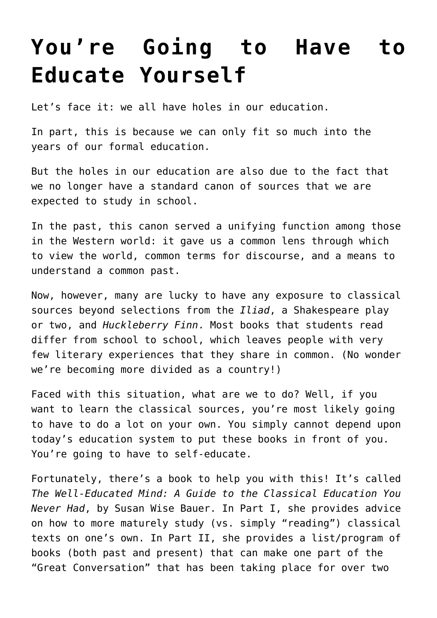## **[You're Going to Have to](https://intellectualtakeout.org/2015/12/youre-going-to-have-to-educate-yourself/) [Educate Yourself](https://intellectualtakeout.org/2015/12/youre-going-to-have-to-educate-yourself/)**

Let's face it: we all have holes in our education.

In part, this is because we can only fit so much into the years of our formal education.

But the holes in our education are also due to the fact that we no longer have a standard canon of sources that we are expected to study in school.

In the past, this canon served a unifying function among those in the Western world: it gave us a common lens through which to view the world, common terms for discourse, and a means to understand a common past.

Now, however, many are lucky to have any exposure to classical sources beyond selections from the *Iliad*, a Shakespeare play or two, and *Huckleberry Finn*. Most books that students read differ from school to school, which leaves people with very few literary experiences that they share in common. (No wonder we're becoming more divided as a country!)

Faced with this situation, what are we to do? Well, if you want to learn the classical sources, you're most likely going to have to do a lot on your own. You simply cannot depend upon today's education system to put these books in front of you. You're going to have to self-educate.

Fortunately, there's a book to help you with this! It's called *The Well-Educated Mind: A Guide to the Classical Education You Never Had*, by Susan Wise Bauer. In Part I, she provides advice on how to more maturely study (vs. simply "reading") classical texts on one's own. In Part II, she provides a list/program of books (both past and present) that can make one part of the "Great Conversation" that has been taking place for over two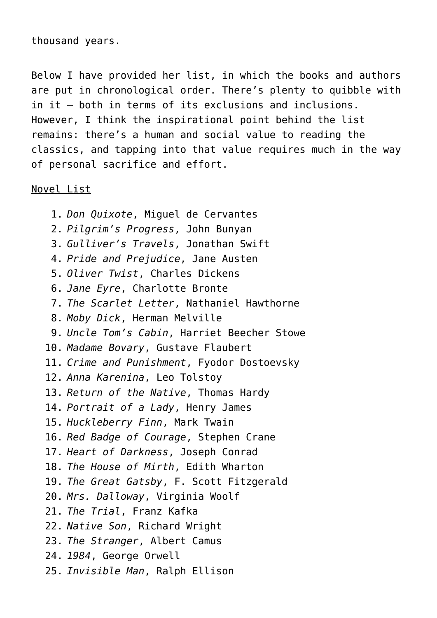thousand years.

Below I have provided her list, in which the books and authors are put in chronological order. There's plenty to quibble with in it – both in terms of its exclusions and inclusions. However, I think the inspirational point behind the list remains: there's a human and social value to reading the classics, and tapping into that value requires much in the way of personal sacrifice and effort.

## Novel List

1. *Don Quixote*, Miguel de Cervantes 2. *Pilgrim's Progress*, John Bunyan 3. *Gulliver's Travels*, Jonathan Swift 4. *Pride and Prejudice*, Jane Austen 5. *Oliver Twist*, Charles Dickens 6. *Jane Eyre*, Charlotte Bronte 7. *The Scarlet Letter*, Nathaniel Hawthorne 8. *Moby Dick*, Herman Melville 9. *Uncle Tom's Cabin*, Harriet Beecher Stowe 10. *Madame Bovary*, Gustave Flaubert 11. *Crime and Punishment*, Fyodor Dostoevsky 12. *Anna Karenina*, Leo Tolstoy 13. *Return of the Native*, Thomas Hardy 14. *Portrait of a Lady*, Henry James 15. *Huckleberry Finn*, Mark Twain 16. *Red Badge of Courage*, Stephen Crane 17. *Heart of Darkness*, Joseph Conrad 18. *The House of Mirth*, Edith Wharton 19. *The Great Gatsby*, F. Scott Fitzgerald 20. *Mrs. Dalloway*, Virginia Woolf 21. *The Trial*, Franz Kafka 22. *Native Son*, Richard Wright 23. *The Stranger*, Albert Camus 24. *1984*, George Orwell 25. *Invisible Man*, Ralph Ellison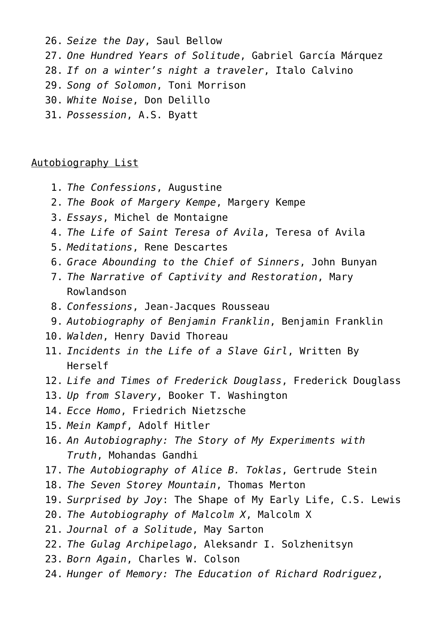26. *Seize the Day*, Saul Bellow 27. *One Hundred Years of Solitude*, Gabriel García Márquez 28. *If on a winter's night a traveler*, Italo Calvino 29. *Song of Solomon*, Toni Morrison 30. *White Noise*, Don Delillo 31. *Possession*, A.S. Byatt

## Autobiography List

- 1. *The Confessions*, Augustine
- 2. *The Book of Margery Kempe*, Margery Kempe
- 3. *Essays*, Michel de Montaigne
- 4. *The Life of Saint Teresa of Avila*, Teresa of Avila
- 5. *Meditations*, Rene Descartes
- 6. *Grace Abounding to the Chief of Sinners*, John Bunyan
- 7. *The Narrative of Captivity and Restoration*, Mary Rowlandson
- 8. *Confessions*, Jean-Jacques Rousseau
- 9. *Autobiography of Benjamin Franklin*, Benjamin Franklin
- 10. *Walden*, Henry David Thoreau
- 11. *Incidents in the Life of a Slave Girl*, Written By Herself
- 12. *Life and Times of Frederick Douglass*, Frederick Douglass
- 13. *Up from Slavery*, Booker T. Washington
- 14. *Ecce Homo*, Friedrich Nietzsche
- 15. *Mein Kampf*, Adolf Hitler
- 16. *An Autobiography: The Story of My Experiments with Truth*, Mohandas Gandhi
- 17. *The Autobiography of Alice B. Toklas*, Gertrude Stein
- 18. *The Seven Storey Mountain*, Thomas Merton
- 19. *Surprised by Joy*: The Shape of My Early Life, C.S. Lewis
- 20. *The Autobiography of Malcolm X*, Malcolm X
- 21. *Journal of a Solitude*, May Sarton
- 22. *The Gulag Archipelago*, Aleksandr I. Solzhenitsyn
- 23. *Born Again*, Charles W. Colson
- 24. *Hunger of Memory: The Education of Richard Rodriguez*,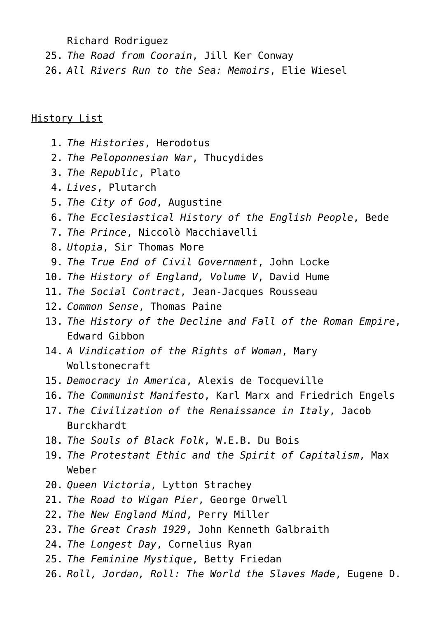Richard Rodriguez

- 25. *The Road from Coorain*, Jill Ker Conway
- 26. *All Rivers Run to the Sea: Memoirs*, Elie Wiesel

## History List

- 1. *The Histories*, Herodotus
- 2. *The Peloponnesian War*, Thucydides
- 3. *The Republic*, Plato
- 4. *Lives*, Plutarch
- 5. *The City of God*, Augustine
- 6. *The Ecclesiastical History of the English People*, Bede
- 7. *The Prince*, Niccolò Macchiavelli
- 8. *Utopia*, Sir Thomas More
- 9. *The True End of Civil Government*, John Locke
- 10. *The History of England, Volume V*, David Hume
- 11. *The Social Contract*, Jean-Jacques Rousseau
- 12. *Common Sense*, Thomas Paine
- 13. *The History of the Decline and Fall of the Roman Empire*, Edward Gibbon
- 14. *A Vindication of the Rights of Woman*, Mary Wollstonecraft
- 15. *Democracy in America*, Alexis de Tocqueville
- 16. *The Communist Manifesto*, Karl Marx and Friedrich Engels
- 17. *The Civilization of the Renaissance in Italy*, Jacob Burckhardt
- 18. *The Souls of Black Folk*, W.E.B. Du Bois
- 19. *The Protestant Ethic and the Spirit of Capitalism*, Max Weber
- 20. *Queen Victoria*, Lytton Strachey
- 21. *The Road to Wigan Pier*, George Orwell
- 22. *The New England Mind*, Perry Miller
- 23. *The Great Crash 1929*, John Kenneth Galbraith
- 24. *The Longest Day*, Cornelius Ryan
- 25. *The Feminine Mystique*, Betty Friedan
- 26. *Roll, Jordan, Roll: The World the Slaves Made*, Eugene D.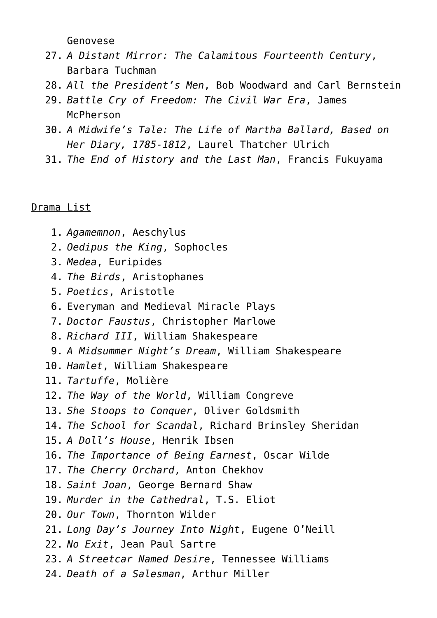Genovese

- 27. *A Distant Mirror: The Calamitous Fourteenth Century*, Barbara Tuchman
- 28. *All the President's Men*, Bob Woodward and Carl Bernstein
- 29. *Battle Cry of Freedom: The Civil War Era*, James McPherson
- 30. *A Midwife's Tale: The Life of Martha Ballard, Based on Her Diary, 1785-1812*, Laurel Thatcher Ulrich
- 31. *The End of History and the Last Man*, Francis Fukuyama

Drama List

- 1. *Agamemnon*, Aeschylus
- 2. *Oedipus the King*, Sophocles
- 3. *Medea*, Euripides
- 4. *The Birds*, Aristophanes
- 5. *Poetics*, Aristotle
- 6. Everyman and Medieval Miracle Plays
- 7. *Doctor Faustus*, Christopher Marlowe
- 8. *Richard III*, William Shakespeare
- 9. *A Midsummer Night's Dream*, William Shakespeare
- 10. *Hamlet*, William Shakespeare
- 11. *Tartuffe*, Molière
- 12. *The Way of the World*, William Congreve
- 13. *She Stoops to Conquer*, Oliver Goldsmith
- 14. *The School for Scandal*, Richard Brinsley Sheridan
- 15. *A Doll's House*, Henrik Ibsen
- 16. *The Importance of Being Earnest*, Oscar Wilde
- 17. *The Cherry Orchard*, Anton Chekhov
- 18. *Saint Joan*, George Bernard Shaw
- 19. *Murder in the Cathedral*, T.S. Eliot
- 20. *Our Town*, Thornton Wilder
- 21. *Long Day's Journey Into Night*, Eugene O'Neill
- 22. *No Exit*, Jean Paul Sartre
- 23. *A Streetcar Named Desire*, Tennessee Williams
- 24. *Death of a Salesman*, Arthur Miller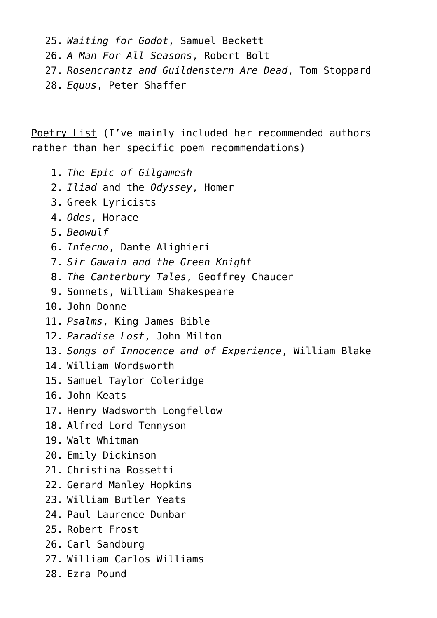25. *Waiting for Godot*, Samuel Beckett 26. *A Man For All Seasons*, Robert Bolt 27. *Rosencrantz and Guildenstern Are Dead*, Tom Stoppard 28. *Equus*, Peter Shaffer

Poetry List (I've mainly included her recommended authors rather than her specific poem recommendations)

- 1. *The Epic of Gilgamesh*
- 2. *Iliad* and the *Odyssey*, Homer
- 3. Greek Lyricists
- 4. *Odes*, Horace
- 5. *Beowulf*
- 6. *Inferno*, Dante Alighieri
- 7. *Sir Gawain and the Green Knight*
- 8. *The Canterbury Tales*, Geoffrey Chaucer
- 9. Sonnets, William Shakespeare
- 10. John Donne
- 11. *Psalms*, King James Bible
- 12. *Paradise Lost*, John Milton
- 13. *Songs of Innocence and of Experience*, William Blake
- 14. William Wordsworth
- 15. Samuel Taylor Coleridge
- 16. John Keats
- 17. Henry Wadsworth Longfellow
- 18. Alfred Lord Tennyson
- 19. Walt Whitman
- 20. Emily Dickinson
- 21. Christina Rossetti
- 22. Gerard Manley Hopkins
- 23. William Butler Yeats
- 24. Paul Laurence Dunbar
- 25. Robert Frost
- 26. Carl Sandburg
- 27. William Carlos Williams
- 28. Ezra Pound